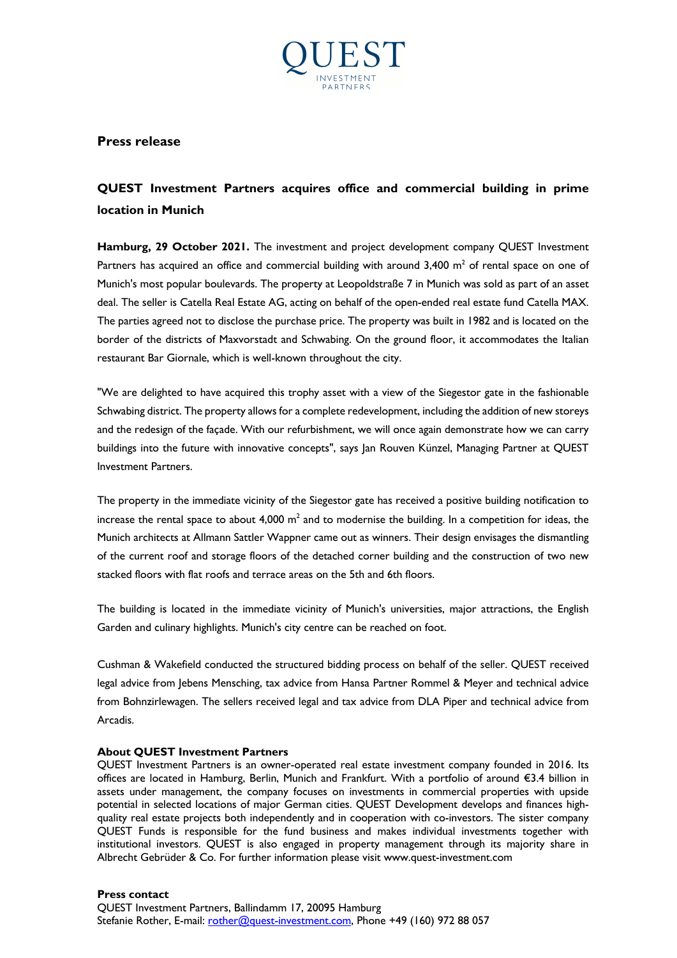

## **Press release**

## **QUEST Investment Partners acquires office and commercial building in prime location in Munich**

**Hamburg, 29 October 2021.** The investment and project development company QUEST Investment Partners has acquired an office and commercial building with around  $3,400$  m<sup>2</sup> of rental space on one of Munich's most popular boulevards. The property at Leopoldstraße 7 in Munich was sold as part of an asset deal. The seller is Catella Real Estate AG, acting on behalf of the open-ended real estate fund Catella MAX. The parties agreed not to disclose the purchase price. The property was built in 1982 and is located on the border of the districts of Maxvorstadt and Schwabing. On the ground floor, it accommodates the Italian restaurant Bar Giornale, which is well-known throughout the city.

"We are delighted to have acquired this trophy asset with a view of the Siegestor gate in the fashionable Schwabing district. The property allows for a complete redevelopment, including the addition of new storeys and the redesign of the façade. With our refurbishment, we will once again demonstrate how we can carry buildings into the future with innovative concepts", says Jan Rouven Künzel, Managing Partner at QUEST Investment Partners.

The property in the immediate vicinity of the Siegestor gate has received a positive building notification to increase the rental space to about 4,000  $m^2$  and to modernise the building. In a competition for ideas, the Munich architects at Allmann Sattler Wappner came out as winners. Their design envisages the dismantling of the current roof and storage floors of the detached corner building and the construction of two new stacked floors with flat roofs and terrace areas on the 5th and 6th floors.

The building is located in the immediate vicinity of Munich's universities, major attractions, the English Garden and culinary highlights. Munich's city centre can be reached on foot.

Cushman & Wakefield conducted the structured bidding process on behalf of the seller. QUEST received legal advice from Jebens Mensching, tax advice from Hansa Partner Rommel & Meyer and technical advice from Bohnzirlewagen. The sellers received legal and tax advice from DLA Piper and technical advice from Arcadis.

## **About QUEST Investment Partners**

QUEST Investment Partners is an owner-operated real estate investment company founded in 2016. Its offices are located in Hamburg, Berlin, Munich and Frankfurt. With a portfolio of around €3.4 billion in assets under management, the company focuses on investments in commercial properties with upside potential in selected locations of major German cities. QUEST Development develops and finances highquality real estate projects both independently and in cooperation with co-investors. The sister company QUEST Funds is responsible for the fund business and makes individual investments together with institutional investors. QUEST is also engaged in property management through its majority share in Albrecht Gebrüder & Co. For further information please visit www.quest-investment.com